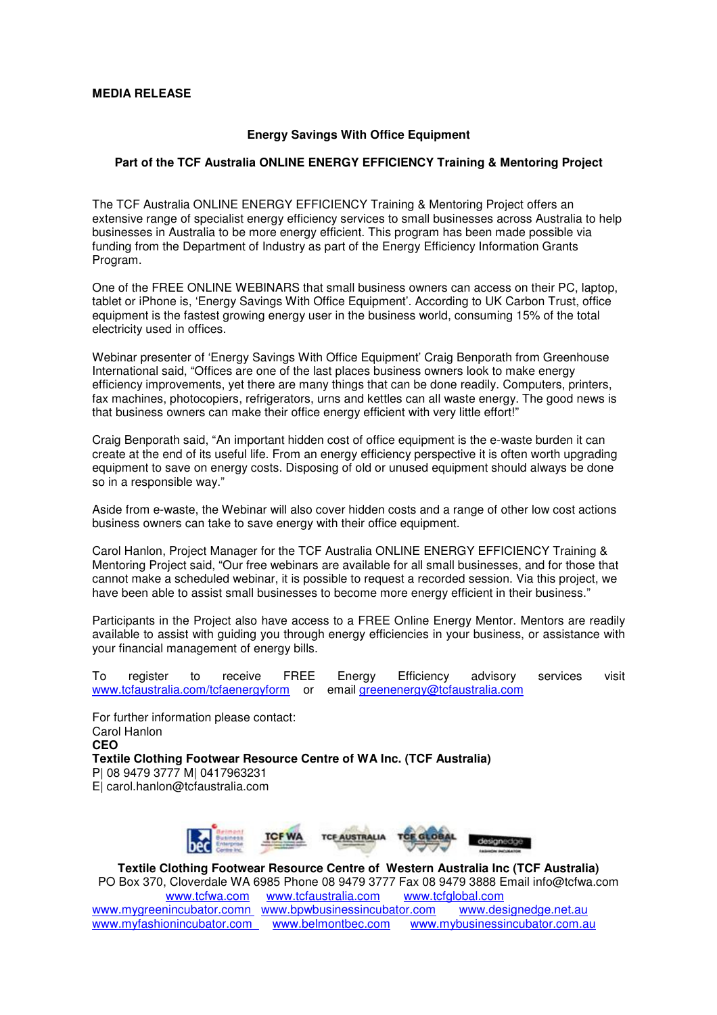## **MEDIA RELEASE**

## **Energy Savings With Office Equipment**

## **Part of the TCF Australia ONLINE ENERGY EFFICIENCY Training & Mentoring Project**

The TCF Australia ONLINE ENERGY EFFICIENCY Training & Mentoring Project offers an extensive range of specialist energy efficiency services to small businesses across Australia to help businesses in Australia to be more energy efficient. This program has been made possible via funding from the Department of Industry as part of the Energy Efficiency Information Grants Program.

One of the FREE ONLINE WEBINARS that small business owners can access on their PC, laptop, tablet or iPhone is, 'Energy Savings With Office Equipment'. According to UK Carbon Trust, office equipment is the fastest growing energy user in the business world, consuming 15% of the total electricity used in offices.

Webinar presenter of 'Energy Savings With Office Equipment' Craig Benporath from Greenhouse International said, "Offices are one of the last places business owners look to make energy efficiency improvements, yet there are many things that can be done readily. Computers, printers, fax machines, photocopiers, refrigerators, urns and kettles can all waste energy. The good news is that business owners can make their office energy efficient with very little effort!"

Craig Benporath said, "An important hidden cost of office equipment is the e-waste burden it can create at the end of its useful life. From an energy efficiency perspective it is often worth upgrading equipment to save on energy costs. Disposing of old or unused equipment should always be done so in a responsible way."

Aside from e-waste, the Webinar will also cover hidden costs and a range of other low cost actions business owners can take to save energy with their office equipment.

Carol Hanlon, Project Manager for the TCF Australia ONLINE ENERGY EFFICIENCY Training & Mentoring Project said, "Our free webinars are available for all small businesses, and for those that cannot make a scheduled webinar, it is possible to request a recorded session. Via this project, we have been able to assist small businesses to become more energy efficient in their business."

Participants in the Project also have access to a FREE Online Energy Mentor. Mentors are readily available to assist with guiding you through energy efficiencies in your business, or assistance with your financial management of energy bills.

To register to receive FREE Energy Efficiency advisory services visit www.tcfaustralia.com/tcfaenergyform or email greenenergy@tcfaustralia.com

For further information please contact: Carol Hanlon **CEO Textile Clothing Footwear Resource Centre of WA Inc. (TCF Australia)**  P| 08 9479 3777 M| 0417963231 E| carol.hanlon@tcfaustralia.com



**Textile Clothing Footwear Resource Centre of Western Australia Inc (TCF Australia)** PO Box 370, Cloverdale WA 6985 Phone 08 9479 3777 Fax 08 9479 3888 Email info@tcfwa.com www.tcfwa.com www.tcfaustralia.com www.tcfglobal.com www.mygreenincubator.comn www.bpwbusinessincubator.com www.designedge.net.au<br>www.myfashionincubator.com www.belmontbec.com www.mybusinessincubator.com.a www.belmontbec.com www.mybusinessincubator.com.au